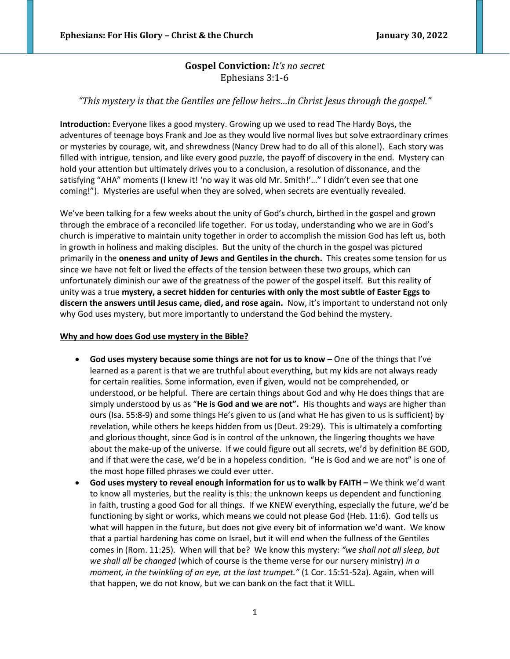# **Gospel Conviction:** *It's no secret* Ephesians 3:1-6

# *"This mystery is that the Gentiles are fellow heirs…in Christ Jesus through the gospel."*

**Introduction:** Everyone likes a good mystery. Growing up we used to read The Hardy Boys, the adventures of teenage boys Frank and Joe as they would live normal lives but solve extraordinary crimes or mysteries by courage, wit, and shrewdness (Nancy Drew had to do all of this alone!). Each story was filled with intrigue, tension, and like every good puzzle, the payoff of discovery in the end. Mystery can hold your attention but ultimately drives you to a conclusion, a resolution of dissonance, and the satisfying "AHA" moments (I knew it! 'no way it was old Mr. Smith!'..." I didn't even see that one coming!"). Mysteries are useful when they are solved, when secrets are eventually revealed.

We've been talking for a few weeks about the unity of God's church, birthed in the gospel and grown through the embrace of a reconciled life together. For us today, understanding who we are in God's church is imperative to maintain unity together in order to accomplish the mission God has left us, both in growth in holiness and making disciples. But the unity of the church in the gospel was pictured primarily in the **oneness and unity of Jews and Gentiles in the church.** This creates some tension for us since we have not felt or lived the effects of the tension between these two groups, which can unfortunately diminish our awe of the greatness of the power of the gospel itself. But this reality of unity was a true **mystery, a secret hidden for centuries with only the most subtle of Easter Eggs to discern the answers until Jesus came, died, and rose again.** Now, it's important to understand not only why God uses mystery, but more importantly to understand the God behind the mystery.

### **Why and how does God use mystery in the Bible?**

- **God uses mystery because some things are not for us to know –** One of the things that I've learned as a parent is that we are truthful about everything, but my kids are not always ready for certain realities. Some information, even if given, would not be comprehended, or understood, or be helpful. There are certain things about God and why He does things that are simply understood by us as "**He is God and we are not".** His thoughts and ways are higher than ours (Isa. 55:8-9) and some things He's given to us (and what He has given to us is sufficient) by revelation, while others he keeps hidden from us (Deut. 29:29). This is ultimately a comforting and glorious thought, since God is in control of the unknown, the lingering thoughts we have about the make-up of the universe. If we could figure out all secrets, we'd by definition BE GOD, and if that were the case, we'd be in a hopeless condition. "He is God and we are not" is one of the most hope filled phrases we could ever utter.
- **God uses mystery to reveal enough information for us to walk by FAITH –** We think we'd want to know all mysteries, but the reality is this: the unknown keeps us dependent and functioning in faith, trusting a good God for all things. If we KNEW everything, especially the future, we'd be functioning by sight or works, which means we could not please God (Heb. 11:6). God tells us what will happen in the future, but does not give every bit of information we'd want. We know that a partial hardening has come on Israel, but it will end when the fullness of the Gentiles comes in (Rom. 11:25). When will that be? We know this mystery: *"we shall not all sleep, but we shall all be changed* (which of course is the theme verse for our nursery ministry) *in a moment, in the twinkling of an eye, at the last trumpet."* (1 Cor. 15:51-52a). Again, when will that happen, we do not know, but we can bank on the fact that it WILL.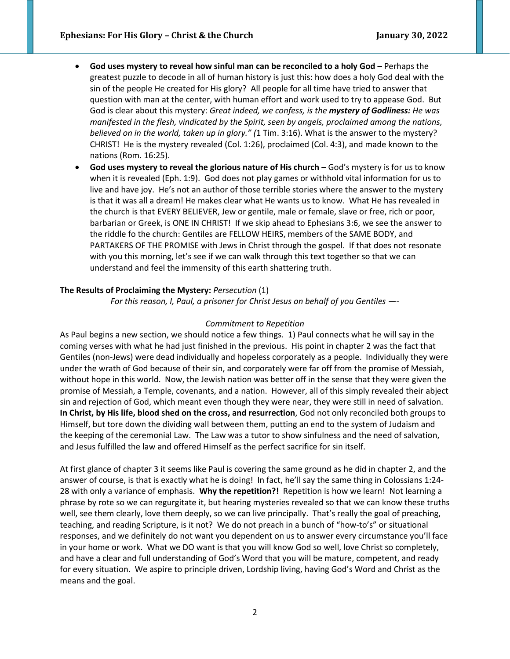- **•** God uses mystery to reveal how sinful man can be reconciled to a holy God Perhaps the greatest puzzle to decode in all of human history is just this: how does a holy God deal with the sin of the people He created for His glory? All people for all time have tried to answer that question with man at the center, with human effort and work used to try to appease God. But God is clear about this mystery: *Great indeed, we confess, is the mystery of Godliness: He was manifested in the flesh, vindicated by the Spirit, seen by angels, proclaimed among the nations, believed on in the world, taken up in glory." (*1 Tim. 3:16). What is the answer to the mystery? CHRIST! He is the mystery revealed (Col. 1:26), proclaimed (Col. 4:3), and made known to the nations (Rom. 16:25).
- **God uses mystery to reveal the glorious nature of His church –** God's mystery is for us to know when it is revealed (Eph. 1:9). God does not play games or withhold vital information for us to live and have joy. He's not an author of those terrible stories where the answer to the mystery is that it was all a dream! He makes clear what He wants us to know. What He has revealed in the church is that EVERY BELIEVER, Jew or gentile, male or female, slave or free, rich or poor, barbarian or Greek, is ONE IN CHRIST! If we skip ahead to Ephesians 3:6, we see the answer to the riddle fo the church: Gentiles are FELLOW HEIRS, members of the SAME BODY, and PARTAKERS OF THE PROMISE with Jews in Christ through the gospel. If that does not resonate with you this morning, let's see if we can walk through this text together so that we can understand and feel the immensity of this earth shattering truth.

### **The Results of Proclaiming the Mystery:** *Persecution* (1)

*For this reason, I, Paul, a prisoner for Christ Jesus on behalf of you Gentiles —-*

#### *Commitment to Repetition*

As Paul begins a new section, we should notice a few things. 1) Paul connects what he will say in the coming verses with what he had just finished in the previous. His point in chapter 2 was the fact that Gentiles (non-Jews) were dead individually and hopeless corporately as a people. Individually they were under the wrath of God because of their sin, and corporately were far off from the promise of Messiah, without hope in this world. Now, the Jewish nation was better off in the sense that they were given the promise of Messiah, a Temple, covenants, and a nation. However, all of this simply revealed their abject sin and rejection of God, which meant even though they were near, they were still in need of salvation. **In Christ, by His life, blood shed on the cross, and resurrection**, God not only reconciled both groups to Himself, but tore down the dividing wall between them, putting an end to the system of Judaism and the keeping of the ceremonial Law. The Law was a tutor to show sinfulness and the need of salvation, and Jesus fulfilled the law and offered Himself as the perfect sacrifice for sin itself.

At first glance of chapter 3 it seems like Paul is covering the same ground as he did in chapter 2, and the answer of course, is that is exactly what he is doing! In fact, he'll say the same thing in Colossians 1:24- 28 with only a variance of emphasis. **Why the repetition?!** Repetition is how we learn! Not learning a phrase by rote so we can regurgitate it, but hearing mysteries revealed so that we can know these truths well, see them clearly, love them deeply, so we can live principally. That's really the goal of preaching, teaching, and reading Scripture, is it not? We do not preach in a bunch of "how-to's" or situational responses, and we definitely do not want you dependent on us to answer every circumstance you'll face in your home or work. What we DO want is that you will know God so well, love Christ so completely, and have a clear and full understanding of God's Word that you will be mature, competent, and ready for every situation. We aspire to principle driven, Lordship living, having God's Word and Christ as the means and the goal.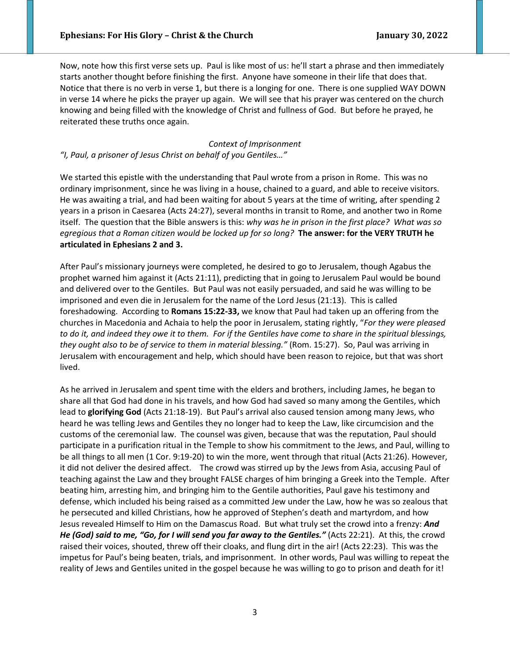Now, note how this first verse sets up. Paul is like most of us: he'll start a phrase and then immediately starts another thought before finishing the first. Anyone have someone in their life that does that. Notice that there is no verb in verse 1, but there is a longing for one. There is one supplied WAY DOWN in verse 14 where he picks the prayer up again. We will see that his prayer was centered on the church knowing and being filled with the knowledge of Christ and fullness of God. But before he prayed, he reiterated these truths once again.

## *Context of Imprisonment*

### *"I, Paul, a prisoner of Jesus Christ on behalf of you Gentiles…"*

We started this epistle with the understanding that Paul wrote from a prison in Rome. This was no ordinary imprisonment, since he was living in a house, chained to a guard, and able to receive visitors. He was awaiting a trial, and had been waiting for about 5 years at the time of writing, after spending 2 years in a prison in Caesarea (Acts 24:27), several months in transit to Rome, and another two in Rome itself. The question that the Bible answers is this: *why was he in prison in the first place? What was so egregious that a Roman citizen would be locked up for so long?* **The answer: for the VERY TRUTH he articulated in Ephesians 2 and 3.** 

After Paul's missionary journeys were completed, he desired to go to Jerusalem, though Agabus the prophet warned him against it (Acts 21:11), predicting that in going to Jerusalem Paul would be bound and delivered over to the Gentiles. But Paul was not easily persuaded, and said he was willing to be imprisoned and even die in Jerusalem for the name of the Lord Jesus (21:13). This is called foreshadowing. According to **Romans 15:22-33,** we know that Paul had taken up an offering from the churches in Macedonia and Achaia to help the poor in Jerusalem, stating rightly, "*For they were pleased to do it, and indeed they owe it to them. For if the Gentiles have come to share in the spiritual blessings, they ought also to be of service to them in material blessing."* (Rom. 15:27). So, Paul was arriving in Jerusalem with encouragement and help, which should have been reason to rejoice, but that was short lived.

As he arrived in Jerusalem and spent time with the elders and brothers, including James, he began to share all that God had done in his travels, and how God had saved so many among the Gentiles, which lead to **glorifying God** (Acts 21:18-19). But Paul's arrival also caused tension among many Jews, who heard he was telling Jews and Gentiles they no longer had to keep the Law, like circumcision and the customs of the ceremonial law. The counsel was given, because that was the reputation, Paul should participate in a purification ritual in the Temple to show his commitment to the Jews, and Paul, willing to be all things to all men (1 Cor. 9:19-20) to win the more, went through that ritual (Acts 21:26). However, it did not deliver the desired affect. The crowd was stirred up by the Jews from Asia, accusing Paul of teaching against the Law and they brought FALSE charges of him bringing a Greek into the Temple. After beating him, arresting him, and bringing him to the Gentile authorities, Paul gave his testimony and defense, which included his being raised as a committed Jew under the Law, how he was so zealous that he persecuted and killed Christians, how he approved of Stephen's death and martyrdom, and how Jesus revealed Himself to Him on the Damascus Road. But what truly set the crowd into a frenzy: *And He (God) said to me, "Go, for I will send you far away to the Gentiles."* (Acts 22:21). At this, the crowd raised their voices, shouted, threw off their cloaks, and flung dirt in the air! (Acts 22:23). This was the impetus for Paul's being beaten, trials, and imprisonment. In other words, Paul was willing to repeat the reality of Jews and Gentiles united in the gospel because he was willing to go to prison and death for it!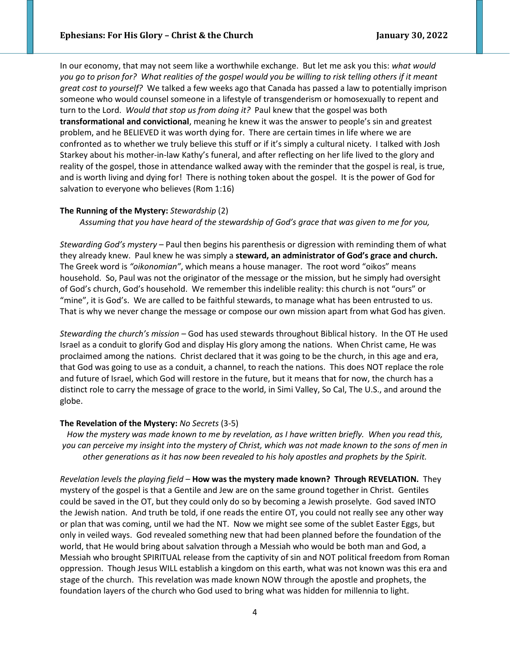In our economy, that may not seem like a worthwhile exchange. But let me ask you this: *what would you go to prison for? What realities of the gospel would you be willing to risk telling others if it meant great cost to yourself?* We talked a few weeks ago that Canada has passed a law to potentially imprison someone who would counsel someone in a lifestyle of transgenderism or homosexually to repent and turn to the Lord. *Would that stop us from doing it?* Paul knew that the gospel was both **transformational and convictional**, meaning he knew it was the answer to people's sin and greatest problem, and he BELIEVED it was worth dying for. There are certain times in life where we are confronted as to whether we truly believe this stuff or if it's simply a cultural nicety. I talked with Josh Starkey about his mother-in-law Kathy's funeral, and after reflecting on her life lived to the glory and reality of the gospel, those in attendance walked away with the reminder that the gospel is real, is true, and is worth living and dying for! There is nothing token about the gospel. It is the power of God for salvation to everyone who believes (Rom 1:16)

### **The Running of the Mystery:** *Stewardship* (2)

*Assuming that you have heard of the stewardship of God's grace that was given to me for you,* 

*Stewarding God's mystery –* Paul then begins his parenthesis or digression with reminding them of what they already knew. Paul knew he was simply a **steward, an administrator of God's grace and church.**  The Greek word is *"oikonomian"*, which means a house manager. The root word "oikos" means household. So, Paul was not the originator of the message or the mission, but he simply had oversight of God's church, God's household. We remember this indelible reality: this church is not "ours" or "mine", it is God's. We are called to be faithful stewards, to manage what has been entrusted to us. That is why we never change the message or compose our own mission apart from what God has given.

*Stewarding the church's mission –* God has used stewards throughout Biblical history. In the OT He used Israel as a conduit to glorify God and display His glory among the nations. When Christ came, He was proclaimed among the nations. Christ declared that it was going to be the church, in this age and era, that God was going to use as a conduit, a channel, to reach the nations. This does NOT replace the role and future of Israel, which God will restore in the future, but it means that for now, the church has a distinct role to carry the message of grace to the world, in Simi Valley, So Cal, The U.S., and around the globe.

#### **The Revelation of the Mystery:** *No Secrets* (3-5)

*How the mystery was made known to me by revelation, as I have written briefly. When you read this, you can perceive my insight into the mystery of Christ, which was not made known to the sons of men in other generations as it has now been revealed to his holy apostles and prophets by the Spirit.*

*Revelation levels the playing field –* **How was the mystery made known? Through REVELATION.** They mystery of the gospel is that a Gentile and Jew are on the same ground together in Christ. Gentiles could be saved in the OT, but they could only do so by becoming a Jewish proselyte. God saved INTO the Jewish nation. And truth be told, if one reads the entire OT, you could not really see any other way or plan that was coming, until we had the NT. Now we might see some of the sublet Easter Eggs, but only in veiled ways. God revealed something new that had been planned before the foundation of the world, that He would bring about salvation through a Messiah who would be both man and God, a Messiah who brought SPIRITUAL release from the captivity of sin and NOT political freedom from Roman oppression. Though Jesus WILL establish a kingdom on this earth, what was not known was this era and stage of the church. This revelation was made known NOW through the apostle and prophets, the foundation layers of the church who God used to bring what was hidden for millennia to light.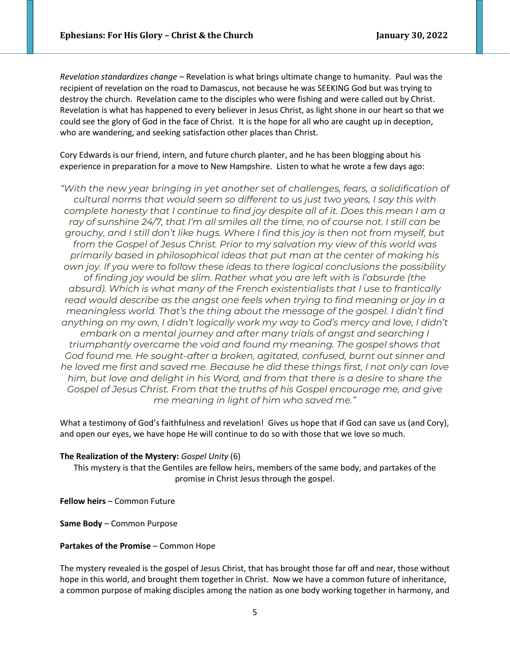*Revelation standardizes change –* Revelation is what brings ultimate change to humanity. Paul was the recipient of revelation on the road to Damascus, not because he was SEEKING God but was trying to destroy the church. Revelation came to the disciples who were fishing and were called out by Christ. Revelation is what has happened to every believer in Jesus Christ, as light shone in our heart so that we could see the glory of God in the face of Christ. It is the hope for all who are caught up in deception, who are wandering, and seeking satisfaction other places than Christ.

Cory Edwards is our friend, intern, and future church planter, and he has been blogging about his experience in preparation for a move to New Hampshire. Listen to what he wrote a few days ago:

*"With the new year bringing in yet another set of challenges, fears, a solidification of cultural norms that would seem so different to us just two years, I say this with complete honesty that I continue to find joy despite all of it. Does this mean I am a ray of sunshine 24/7, that I'm all smiles all the time, no of course not. I still can be grouchy, and I still don't like hugs. Where I find this joy is then not from myself, but from the Gospel of Jesus Christ. Prior to my salvation my view of this world was primarily based in philosophical ideas that put man at the center of making his own joy. If you were to follow these ideas to there logical conclusions the possibility of finding joy would be slim. Rather what you are left with is l'absurde (the absurd). Which is what many of the French existentialists that I use to frantically read would describe as the angst one feels when trying to find meaning or joy in a meaningless world. That's the thing about the message of the gospel. I didn't find anything on my own, I didn't logically work my way to God's mercy and love, I didn't embark on a mental journey and after many trials of angst and searching I triumphantly overcame the void and found my meaning. The gospel shows that God found me. He sought-after a broken, agitated, confused, burnt out sinner and he loved me first and saved me. Because he did these things first, I not only can love him, but love and delight in his Word, and from that there is a desire to share the Gospel of Jesus Christ. From that the truths of his Gospel encourage me, and give me meaning in light of him who saved me."*

What a testimony of God's faithfulness and revelation! Gives us hope that if God can save us (and Cory), and open our eyes, we have hope He will continue to do so with those that we love so much.

#### **The Realization of the Mystery:** *Gospel Unity* (6)

This mystery is that the Gentiles are fellow heirs, members of the same body, and partakes of the promise in Christ Jesus through the gospel.

**Fellow heirs** – Common Future

**Same Body** – Common Purpose

### **Partakes of the Promise** – Common Hope

The mystery revealed is the gospel of Jesus Christ, that has brought those far off and near, those without hope in this world, and brought them together in Christ. Now we have a common future of inheritance, a common purpose of making disciples among the nation as one body working together in harmony, and